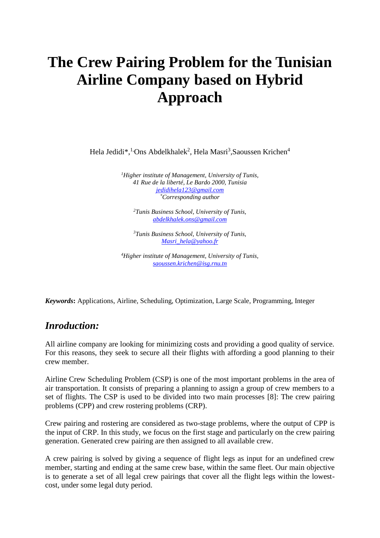# **The Crew Pairing Problem for the Tunisian Airline Company based on Hybrid Approach**

Hela Jedidi\*,<sup>1</sup><sup>,</sup>Ons Abdelkhalek<sup>2</sup>, Hela Masri<sup>3</sup>,Saoussen Krichen<sup>4</sup>

*<sup>1</sup>Higher institute of Management, University of Tunis, 41 Rue de la liberté, Le Bardo 2000, Tunisia [jedidihela123@gmail.com](mailto:jedidihela123@gmail.com) \*Corresponding author*

*<sup>2</sup>Tunis Business School, University of Tunis, [abdelkhalek.ons@gmail.com](mailto:abdelkhalek.ons@gmail.com)*

*<sup>3</sup>Tunis Business School, University of Tunis, [Masri\\_hela@yahoo.fr](mailto:Masri_hela@yahoo.fr)*

*<sup>4</sup>Higher institute of Management, University of Tunis, [saoussen.krichen@isg.rnu.tn](mailto:saoussen.krichen@isg.rnu.tn)*

*Keywords***:** Applications, Airline, Scheduling, Optimization, Large Scale, Programming, Integer

### *Inroduction:*

All airline company are looking for minimizing costs and providing a good quality of service. For this reasons, they seek to secure all their flights with affording a good planning to their crew member.

Airline Crew Scheduling Problem (CSP) is one of the most important problems in the area of air transportation. It consists of preparing a planning to assign a group of crew members to a set of flights. The CSP is used to be divided into two main processes [8]: The crew pairing problems (CPP) and crew rostering problems (CRP).

Crew pairing and rostering are considered as two-stage problems, where the output of CPP is the input of CRP. In this study, we focus on the first stage and particularly on the crew pairing generation. Generated crew pairing are then assigned to all available crew.

A crew pairing is solved by giving a sequence of flight legs as input for an undefined crew member, starting and ending at the same crew base, within the same fleet. Our main objective is to generate a set of all legal crew pairings that cover all the flight legs within the lowestcost, under some legal duty period.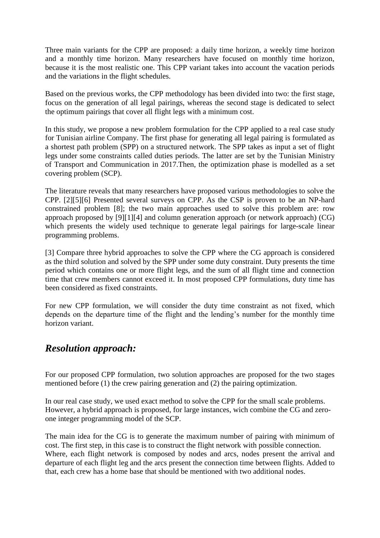Three main variants for the CPP are proposed: a daily time horizon, a weekly time horizon and a monthly time horizon. Many researchers have focused on monthly time horizon, because it is the most realistic one. This CPP variant takes into account the vacation periods and the variations in the flight schedules.

Based on the previous works, the CPP methodology has been divided into two: the first stage, focus on the generation of all legal pairings, whereas the second stage is dedicated to select the optimum pairings that cover all flight legs with a minimum cost.

In this study, we propose a new problem formulation for the CPP applied to a real case study for Tunisian airline Company. The first phase for generating all legal pairing is formulated as a shortest path problem (SPP) on a structured network. The SPP takes as input a set of flight legs under some constraints called duties periods. The latter are set by the Tunisian Ministry of Transport and Communication in 2017.Then, the optimization phase is modelled as a set covering problem (SCP).

The literature reveals that many researchers have proposed various methodologies to solve the CPP. [2][5][6] Presented several surveys on CPP. As the CSP is proven to be an NP-hard constrained problem [8]; the two main approaches used to solve this problem are: row approach proposed by [9][1][4] and column generation approach (or network approach) (CG) which presents the widely used technique to generate legal pairings for large-scale linear programming problems.

[3] Compare three hybrid approaches to solve the CPP where the CG approach is considered as the third solution and solved by the SPP under some duty constraint. Duty presents the time period which contains one or more flight legs, and the sum of all flight time and connection time that crew members cannot exceed it. In most proposed CPP formulations, duty time has been considered as fixed constraints.

For new CPP formulation, we will consider the duty time constraint as not fixed, which depends on the departure time of the flight and the lending's number for the monthly time horizon variant.

# *Resolution approach:*

For our proposed CPP formulation, two solution approaches are proposed for the two stages mentioned before (1) the crew pairing generation and (2) the pairing optimization.

In our real case study, we used exact method to solve the CPP for the small scale problems. However, a hybrid approach is proposed, for large instances, wich combine the CG and zeroone integer programming model of the SCP.

The main idea for the CG is to generate the maximum number of pairing with minimum of cost. The first step, in this case is to construct the flight network with possible connection. Where, each flight network is composed by nodes and arcs, nodes present the arrival and departure of each flight leg and the arcs present the connection time between flights. Added to that, each crew has a home base that should be mentioned with two additional nodes.